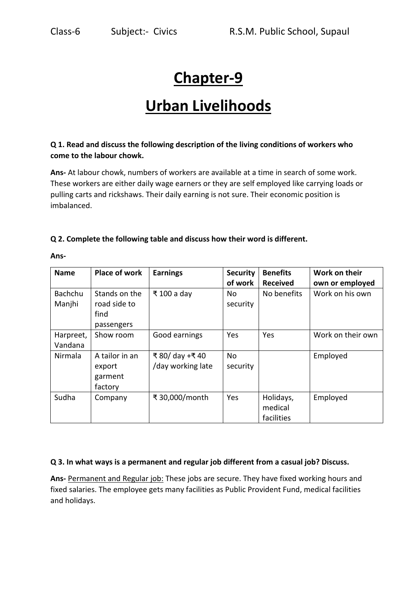# **Chapter-9**

## **Urban Livelihoods**

## **Q 1. Read and discuss the following description of the living conditions of workers who come to the labour chowk.**

**Ans-** At labour chowk, numbers of workers are available at a time in search of some work. These workers are either daily wage earners or they are self employed like carrying loads or pulling carts and rickshaws. Their daily earning is not sure. Their economic position is imbalanced.

### **Q 2. Complete the following table and discuss how their word is different.**

| <b>Name</b>              | <b>Place of work</b>                                | <b>Earnings</b>                      | <b>Security</b><br>of work | <b>Benefits</b><br><b>Received</b> | Work on their<br>own or employed |
|--------------------------|-----------------------------------------------------|--------------------------------------|----------------------------|------------------------------------|----------------------------------|
| <b>Bachchu</b><br>Manjhi | Stands on the<br>road side to<br>find<br>passengers | ₹ 100 a day                          | No.<br>security            | No benefits                        | Work on his own                  |
| Harpreet,<br>Vandana     | Show room                                           | Good earnings                        | Yes                        | Yes                                | Work on their own                |
| Nirmala                  | A tailor in an<br>export<br>garment<br>factory      | ₹ 80/ day +₹ 40<br>/day working late | No<br>security             |                                    | Employed                         |
| Sudha                    | Company                                             | ₹ 30,000/month                       | Yes                        | Holidays,<br>medical<br>facilities | Employed                         |

**Ans-**

### **Q 3. In what ways is a permanent and regular job different from a casual job? Discuss.**

**Ans-** Permanent and Regular job: These jobs are secure. They have fixed working hours and fixed salaries. The employee gets many facilities as Public Provident Fund, medical facilities and holidays.